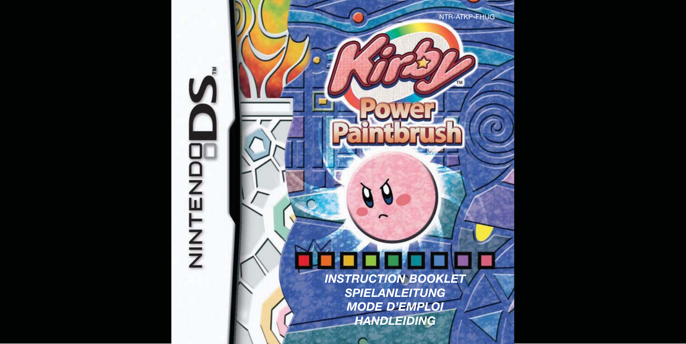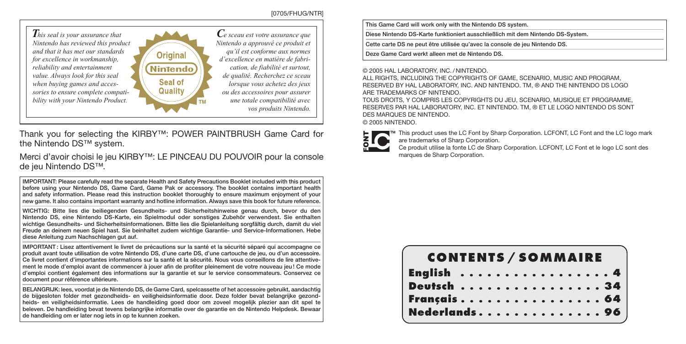#### [0705/FHUG/NTR]



Thank you for selecting the KIRBY™: POWER PAINTBRUSH Game Card for the Nintendo DS™ system.

Merci d'avoir choisi le jeu KIRBY™: LE PINCEAU DU POUVOIR pour la console de jeu Nintendo DS™.

IMPORTANT: Please carefully read the separate Health and Safety Precautions Booklet included with this product before using your Nintendo DS, Game Card, Game Pak or accessory. The booklet contains important health and safety information. Please read this instruction booklet thoroughly to ensure maximum enjoyment of your new game. It also contains important warranty and hotline information. Always save this book for future reference.

WICHTIG: Bitte lies die beiliegenden Gesundheits- und Sicherheitshinweise genau durch, bevor du den Nintendo DS, eine Nintendo DS-Karte, ein Spielmodul oder sonstiges Zubehör verwendest. Sie enthalten wichtige Gesundheits- und Sicherheitsinformationen. Bitte lies die Spielanleitung sorgfältig durch, damit du viel Freude an deinem neuen Spiel hast. Sie beinhaltet zudem wichtige Garantie- und Service-Informationen. Hebe diese Anleitung zum Nachschlagen gut auf.

IMPORTANT : Lisez attentivement le livret de précautions sur la santé et la sécurité séparé qui accompagne ce produit avant toute utilisation de votre Nintendo DS, d'une carte DS, d'une cartouche de jeu, ou d'un accessoire. Ce livret contient d'importantes informations sur la santé et la sécurité. Nous vous conseillons de lire attentivement le mode d'emploi avant de commencer à jouer afin de profiter pleinement de votre nouveau jeu ! Ce mode d'emploi contient également des informations sur la garantie et sur le service consommateurs. Conservez ce document pour référence ultérieure.

BELANGRIJK: lees, voordat je de Nintendo DS, de Game Card, spelcassette of het accessoire gebruikt, aandachtig de bijgesloten folder met gezondheids- en veiligheidsinformatie door. Deze folder bevat belangrijke gezondheids- en veiligheidsinformatie. Lees de handleiding goed door om zoveel mogelijk plezier aan dit spel te beleven. De handleiding bevat tevens belangrijke informatie over de garantie en de Nintendo Helpdesk. Bewaar de handleiding om er later nog iets in op te kunnen zoeken.

This Game Card will work only with the Nintendo DS system.

Diese Nintendo DS-Karte funktioniert ausschließlich mit dem Nintendo DS-System.

Cette carte DS ne peut être utilisée qu'avec la console de jeu Nintendo DS.

Deze Game Card werkt alleen met de Nintendo DS.

© 2005 HAL LABORATORY, INC. / NINTENDO.

ALL RIGHTS, INCLUDING THE COPYRIGHTS OF GAME, SCENARIO, MUSIC AND PROGRAM, RESERVED BY HAL LABORATORY, INC. AND NINTENDO. TM, ® AND THE NINTENDO DS LOGO ARE TRADEMARKS OF NINTENDO.

TOUS DROITS, Y COMPRIS LES COPYRIGHTS DU JEU, SCENARIO, MUSIQUE ET PROGRAMME, RESERVES PAR HAL LABORATORY, INC. ET NINTENDO. TM, ® ET LE LOGO NINTENDO DS SONT DES MARQUES DE NINTENDO. © 2005 NINTENDO.

This product uses the LC Font by Sharp Corporation. LCFONT, LC Font and the LC logo mark are trademarks of Sharp Corporation.

Ce produit utilise la fonte LC de Sharp Corporation. LCFONT, LC Font et le logo LC sont des marques de Sharp Corporation.

| <b>CONTENTS / SOMMAIRE</b> |  |  |  |  |  |  |  |  |  |
|----------------------------|--|--|--|--|--|--|--|--|--|
| English 4                  |  |  |  |  |  |  |  |  |  |
| Deutsch 34                 |  |  |  |  |  |  |  |  |  |
| Français 64                |  |  |  |  |  |  |  |  |  |
| Nederlands 96              |  |  |  |  |  |  |  |  |  |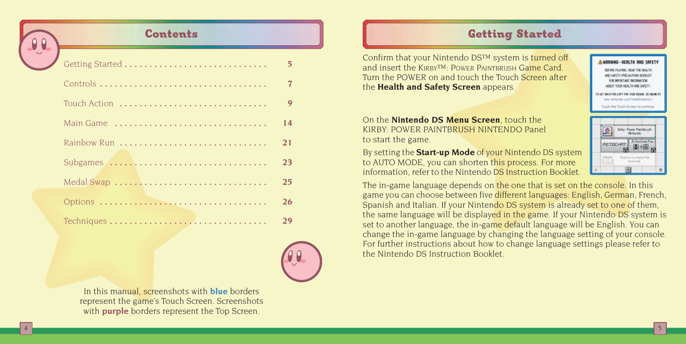

4

# Contents

| Getting Started | 5  |
|-----------------|----|
|                 |    |
| Touch Action    | 9  |
|                 | 14 |
| Rainbow Run     | 21 |
| Subgames        | 23 |
| Medal Swap      | 25 |
|                 | 26 |
|                 | 29 |



In this manual, screenshots with **blue** borders represent the game's Touch Screen. Screenshots with **purple** borders represent the Top Screen.

# Getting Started

Confirm that your Nintendo DS™ system is turned off and insert the KIRBY™: POWER PAINTBRUSH Game Card. Turn the POWER on and touch the Touch Screen after the **Health and Safety Screen** appears.

On the **Nintendo DS Menu Screen**, touch the KIRBY: POWER PAINTBRUSH NINTENDO Panel to start the game.

By setting the **Start-up Mode** of your Nintendo DS system to AUTO MODE, you can shorten this process. For more information, refer to the Nintendo DS Instruction Booklet.

Kirby: Power Paintbrush  $\bullet$ Notard **PICTOCHRT** There is no finite Pak **Virgin Saud** 

A HODHINE, HERETH OUR COCET. CODE DI AVRIC, DEAD THE MEN'T AND SAFETY PRECAUTIONS DODGLET **SOP MODERATE INFORMATION** AROUT YOUR HEALTH AND SAFETY TO GET AN EXTEN CORY FOR VIOLENCOM, OR OWING A siar recharging com Hundeburghets / Touch the Touch Screen to continu

5

The in-game language depends on the one that is set on the console. In this game you can choose between five different languages: English, German, French, Spanish and Italian. If your Nintendo DS system is already set to one of them, the same language will be displayed in the game. If your Nintendo DS system is set to another language, the in-game default language will be English. You can change the in-game language by changing the language setting of your console. For further instructions about how to change language settings please refer to the Nintendo DS Instruction Booklet.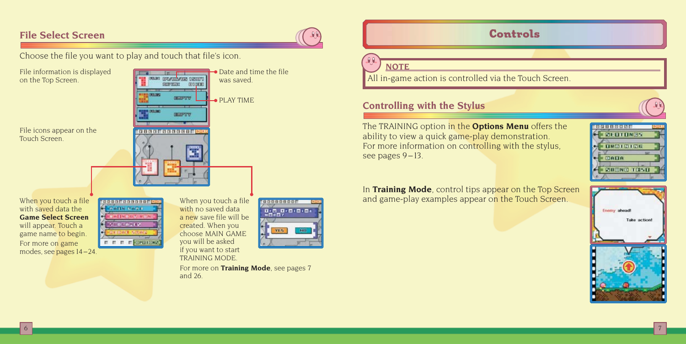# **File Select Screen**

File information is displayed on the Top Screen.

Choose the file you want to play and touch that file's icon.

File icons appear on the Touch Screen.



When you touch a file with saved data the **Game Select Screen** will appear. Touch a game name to begin. For more on game modes, see pages 14 –24. **MODOGEROOGOGEE CERRITA BARL** SERGERES 

When you touch a file with no saved data a new save file will be created. When you choose MAIN GAME you will be asked if you want to start TRAINING MODE.



For more on **Training Mode**, see pages 7 and 26.

# Controls

# **NOTE**

All in-game action is controlled via the Touch Screen.

# **Controlling with the Stylus**

The TRAINING option in the **Options Menu** offers the ability to view a quick game-play demonstration. For more information on controlling with the stylus, see pages 9-13.

| 何度有真白而白石        |  |
|-----------------|--|
| <b>SEUTHNES</b> |  |
| <b>TRAINING</b> |  |
| ۰               |  |
| DAHA            |  |
| PODNO TRST      |  |
|                 |  |

In **Training Mode**, control tips appear on the Top Screen and game-play examples appear on the Touch Screen.

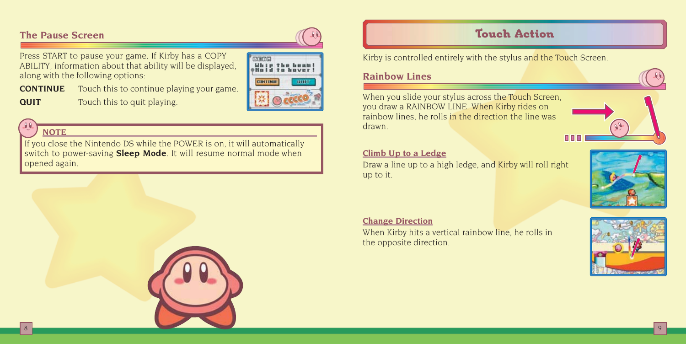# **The Pause Screen**

Press START to pause your game. If Kirby has a COPY ABILITY, information about that ability will be displayed, along with the following options: **CONTINUE** Touch this to continue playing your game.

**QUIT** Touch this to quit playing.



# **NOTE**

If you close the Nintendo DS while the POWER is on, it will automatically switch to power-saving **Sleep Mode**. It will resume normal mode when opened again.



Kirby is controlled entirely with the stylus and the Touch Screen.

#### **Rainbow Lines**

When you slide your stylus across the Touch Screen, you draw a RAINBOW LINE. When Kirby rides on rainbow lines, he rolls in the direction the line was drawn.



#### **Climb Up to a Ledge**

Draw a line up to a high ledge, and Kirby will roll right up to it.



#### **Change Direction**

When Kirby hits a vertical rainbow line, he rolls in the opposite direction.



 $8$  , and the set of the set of the set of the set of the set of the set of the set of the set of the set of the set of the set of the set of the set of the set of the set of the set of the set of the set of the set of th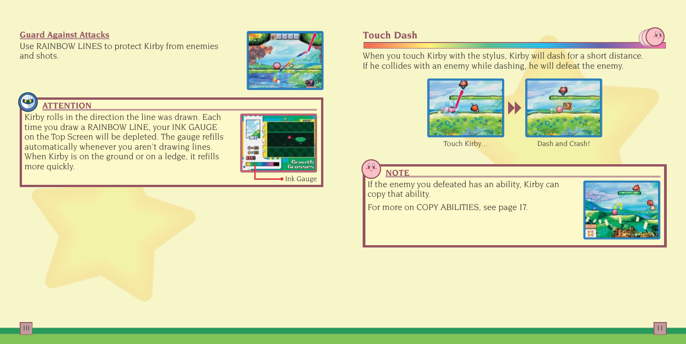#### **Guard Against Attacks**

Use RAINBOW LINES to protect Kirby from enemies and shots.





Kirby rolls in the direction the line was drawn. Each time you draw a RAINBOW LINE, your INK GAUGE on the Top Screen will be depleted. The gauge refills automatically whenever you aren't drawing lines. When Kirby is on the ground or on a ledge, it refills more quickly.



#### **Touch Dash**

When you touch Kirby with the stylus, Kirby will dash for a short distance. If he collides with an enemy while dashing, he will defeat the enemy.





Touch Kirby... Dash and Crash!



**NOTE**

If the enemy you defeated has an ability, Kirby can copy that ability.

For more on COPY ABILITIES, see page 17.

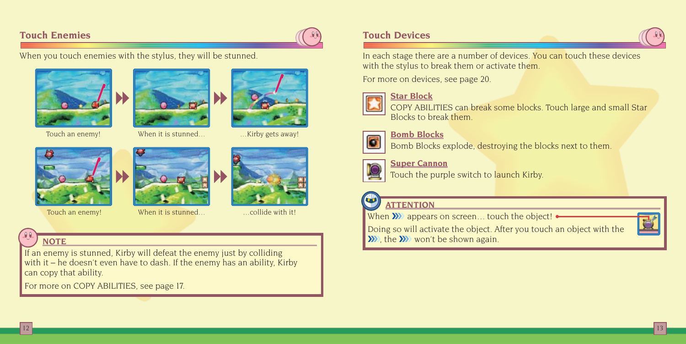### **Touch Enemies**

When you touch enemies with the stylus, they will be stunned.





Touch an enemy!



When it is stunned... ...Kirby gets away!







# **NOTE**

If an enemy is stunned, Kirby will defeat the enemy just by colliding with it – he doesn't even have to dash. If the enemy has an ability, Kirby can copy that ability.

For more on COPY ABILITIES, see page 17.

## **Touch Devices**

In each stage there are a number of devices. You can touch these devices with the stylus to break them or activate them.

For more on devices, see page 20.



#### **Star Block**



COPY ABILITIES can break some blocks. Touch large and small Star Blocks to break them.



**Bomb Blocks**



**Super Cannon**

Touch the purple switch to launch Kirby.

#### $\mathbf{u}$ **ATTENTION**

Touch an enemy! When it is stunned... ...collide with it! When ❯❯❯❯ appears on screen... touch the object!

Doing so will activate the object. After you touch an object with the W, the **W** won't be shown again.

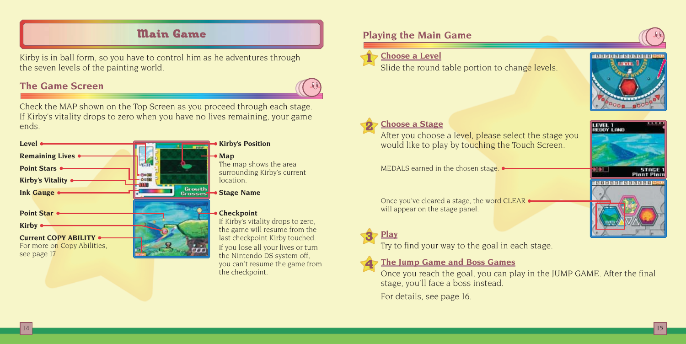# Main Game

Kirby is in ball form, so you have to control him as he adventures through the seven levels of the painting world.

## **The Game Screen**

Check the MAP shown on the Top Screen as you proceed through each stage. If Kirby's vitality drops to zero when you have no lives remaining, your game ends.

| Level                       |               |
|-----------------------------|---------------|
| <b>Remaining Lives</b>      |               |
| <b>Point Stars •</b>        |               |
| <b>Kirby's Vitality</b>     |               |
| <b>Ink Gauge</b>            | <b>Grouth</b> |
| <b>Point Star</b>           |               |
|                             |               |
|                             |               |
| <b>Kirby</b>                |               |
| Current COPY ABILITY .      |               |
| For more on Copy Abilities, |               |

#### **Kirby's Position**

#### $\rightarrow$  Map

The map shows the area surrounding Kirby's current location.

**Stage Name**

#### **Checkpoint**

If Kirby's vitality drops to zero, the game will resume from the last checkpoint Kirby touched.

If you lose all your lives or turn the Nintendo DS system off, you can't resume the game from the checkpoint.

# **Playing the Main Game**

#### **Choose a Level** 1

Slide the round table portion to change levels.



LEVEL 1

#### **Choose a Stage** 2

After you choose a level, please select the stage you would like to play by touching the Touch Screen.

MEDALS earned in the chosen stage.

Once you've cleared a stage, the word CLEAR will appear on the stage panel.

#### **Play** 3

4

Try to find your way to the goal in each stage.

### **The Jump Game and Boss Games**

Once you reach the goal, you can play in the JUMP GAME. After the final stage, you'll face a boss instead.

For details, see page 16.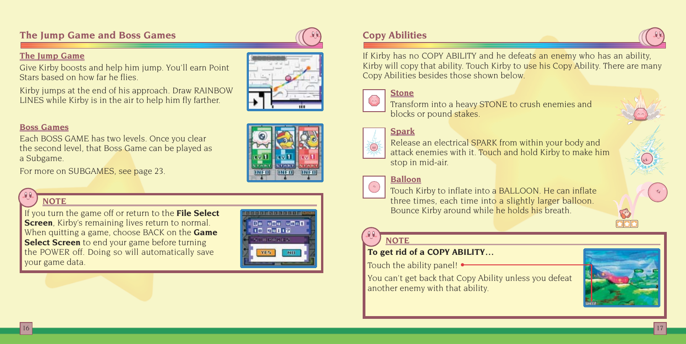# **The Jump Game and Boss Games**

#### **The Jump Game**

Give Kirby boosts and help him jump. You'll earn Point Stars based on how far he flies.

Kirby jumps at the end of his approach. Draw RAINBOW LINES while Kirby is in the air to help him fly farther.

#### **Boss Games**

Each BOSS GAME has two levels. Once you clear the second level, that Boss Game can be played as a Subgame.

For more on SUBGAMES, see page 23.

# **NOTE**

If you turn the game off or return to the **File Select Screen**, Kirby's remaining lives return to normal. When quitting a game, choose BACK on the **Game Select Screen** to end your game before turning the POWER off. Doing so will automatically save your game data.



 $(0.111)$  $[IMED]$ 

# **Copy Abilities**

If Kirby has no COPY ABILITY and he defeats an enemy who has an ability, Kirby will copy that ability. Touch Kirby to use his Copy Ability. There are many Copy Abilities besides those shown below.

# **Stone**

Transform into a heavy STONE to crush enemies and blocks or pound stakes.

#### **Spark**

Release an electrical SPARK from within your body and attack enemies with it. Touch and hold Kirby to make him stop in mid-air.

# **Balloon**



Touch Kirby to inflate into a BALLOON. He can inflate three times, each time into a slightly larger balloon. Bounce Kirby around while he holds his breath.

# **NOTE**

## **To get rid of a COPY ABILITY...**

Touch the ability panel! •

You can't get back that Copy Ability unless you defeat another enemy with that ability.





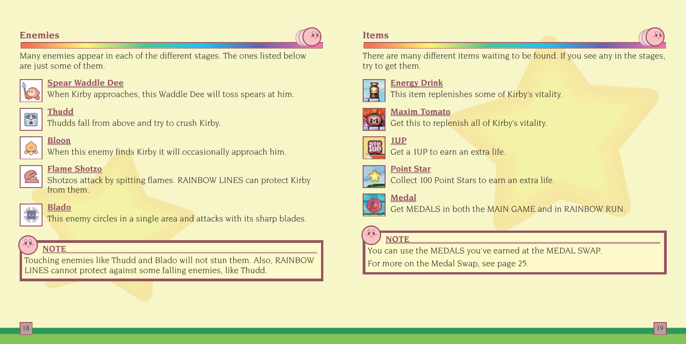#### **Enemies**

Many enemies appear in each of the different stages. The ones listed below are just some of them.



#### **Spear Waddle Dee**

When Kirby approaches, this Waddle Dee will toss spears at him.



# **Thudd**



Thudds fall from above and try to crush Kirby.



# When this enemy finds Kirby it will occasionally approach him. **Flame Shotzo**

Shotzos attack by spitting flames. RAINBOW LINES can protect Kirby from them.



# **Blado**

This enemy circles in a single area and attacks with its sharp blades.



Touching enemies like Thudd and Blado will not stun them. Also, RAINBOW LINES cannot protect against some falling enemies, like Thudd.

#### **Items**

There are many different items waiting to be found. If you see any in the stages try to get them.



**Energy Drink** This item replenishes some of Kirby's vitality.



**Maxim Tomato** Get this to replenish all of Kirby's vitality.



Get a 1UP to earn an extra life.



**Point Star**







18 19

Get MEDALS in both the MAIN GAME and in RAINBOW RUN.

# **NOTE**

**NOTE NOTE** *NOTE NOTE NOTE NOTE NOTE NOTE NOTE NOTE NOTE NOTE NOTE NOTE NOTE NOTE NOTE NOTE NOTE NOTE NOTE NOTE NOTE NOTE NOTE*

For more on the Medal Swap, see page 25.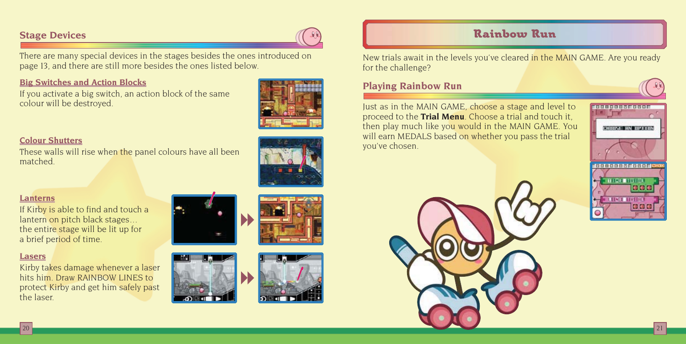## **Stage Devices**

There are many special devices in the stages besides the ones introduced on page 13, and there are still more besides the ones listed below.

#### **Big Switches and Action Blocks**

If you activate a big switch, an action block of the same colour will be destroyed.



#### **Colour Shutters**

These walls will rise when the panel colours have all been matched.

#### **Lanterns**

If Kirby is able to find and touch a lantern on pitch black stages... the entire stage will be lit up for a brief period of time.

#### **Lasers**

Kirby takes damage whenever a laser hits him. Draw RAINBOW LINES to protect Kirby and get him safely past the laser.







# Rainbow Run

New trials await in the levels you've cleared in the MAIN GAME. Are you ready for the challenge?

### **Playing Rainbow Run**

Just as in the MAIN GAME, choose a stage and level to proceed to the **Trial Menu**. Choose a trial and touch it, then play much like you would in the MAIN GAME. You will earn MEDALS based on whether you pass the trial you've chosen.





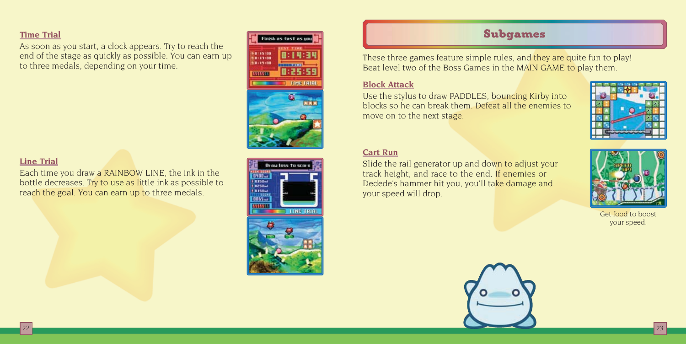#### **Time Trial**

As soon as you start, a clock appears. Try to reach the end of the stage as quickly as possible. You can earn up to three medals, depending on your time.



#### **Line Trial**

Each time you draw a RAINBOW LINE, the ink in the bottle decreases. Try to use as little ink as possible to reach the goal. You can earn up to three medals.

# **Drawless to score** 0400- $\begin{array}{c} 0.150m \\ + 0.150m \\ + 0.150m \end{array}$  $10065 - 1$ **TINE TR**

# Subgames

These three games feature simple rules, and they are quite fun to play! Beat level two of the Boss Games in the MAIN GAME to play them.

#### **Block Attack**

Use the stylus to draw PADDLES, bouncing Kirby into blocks so he can break them. Defeat all the enemies to move on to the next stage.



#### **Cart Run**

Slide the rail generator up and down to adjust your track height, and race to the end. If enemies or Dedede's hammer hit you, you'll take damage and your speed will drop.



Get food to boost your speed.

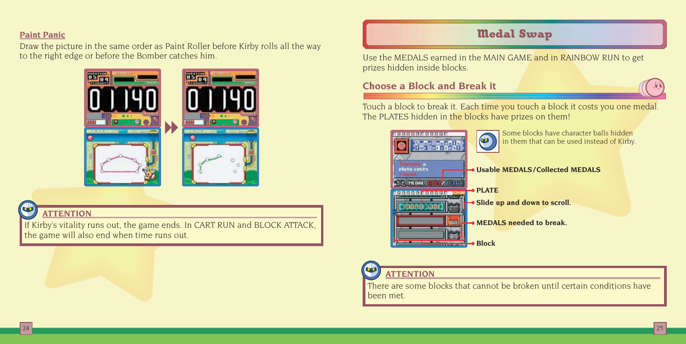#### **Paint Panic**

Draw the picture in the same order as Paint Roller before Kirby rolls all the way to the right edge or before the Bomber catches him.



# **ATTENTION**

If Kirby's vitality runs out, the game ends. In CART RUN and BLOCK ATTACK, the game will also end when time runs out.

# Medal Swap

Use the MEDALS earned in the MAIN GAME and in RAINBOW RUN to get prizes hidden inside blocks.

# **Choose a Block and Break it**

Touch a block to break it. Each time you touch a block it costs you one medal. The PLATES hidden in the blocks have prizes on them!

| 特面向同门<br><b>Belde Ds</b>              | Some blocks have character balls hidden<br>in them that can be used instead of Kirby. |
|---------------------------------------|---------------------------------------------------------------------------------------|
| atu casts<br><b>PIE DEL</b><br>197036 | · Usable MEDALS/Collected MEDALS                                                      |
|                                       | $\bullet$ PLATE                                                                       |
|                                       | • Slide up and down to scroll.                                                        |
| 077                                   | • MEDALS needed to break.                                                             |
|                                       | <b>Block</b>                                                                          |

# **ATTENTION**

There are some blocks that cannot be broken until certain conditions have been met.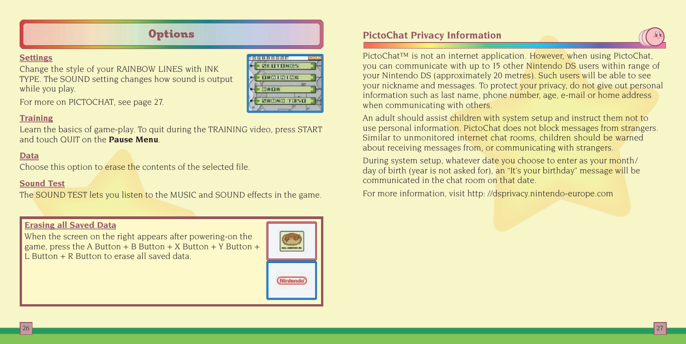#### **Settings**

Change the style of your RAINBOW LINES with INK TYPE. The SOUND setting changes how sound is output while you play.



For more on PICTOCHAT, see page 27.

#### **Training**

Learn the basics of game-play. To quit during the TRAINING video, press START and touch QUIT on the **Pause Menu**.

#### **Data**

Choose this option to erase the contents of the selected file.

#### **Sound Test**

The SOUND TEST lets you listen to the MUSIC and SOUND effects in the game.

#### **Erasing all Saved Data**

When the screen on the right appears after powering-on the game, press the A Button  $+$  B Button  $+$  X Button  $+$  Y Button  $+$ L Button + R Button to erase all saved data.



# **Options PictoChat Privacy Information**

PictoChat™ is not an internet application. However, when using PictoChat you can communicate with up to 15 other Nintendo DS users within range of your Nintendo DS (approximately 20 metres). Such users will be able to see your nickname and messages. To protect your privacy, do not give out personal information such as last name, phone number, age, e-mail or home address when communicating with others.

An adult should assist children with system setup and instruct them not to use personal information. PictoChat does not block messages from strangers. Similar to unmonitored internet chat rooms, children should be warned about receiving messages from, or communicating with strangers.

During system setup, whatever date you choose to enter as your month/ day of birth (year is not asked for), an "It's your birthday" message will be communicated in the chat room on that date.

For more information, visit http: //dsprivacy.nintendo-europe.com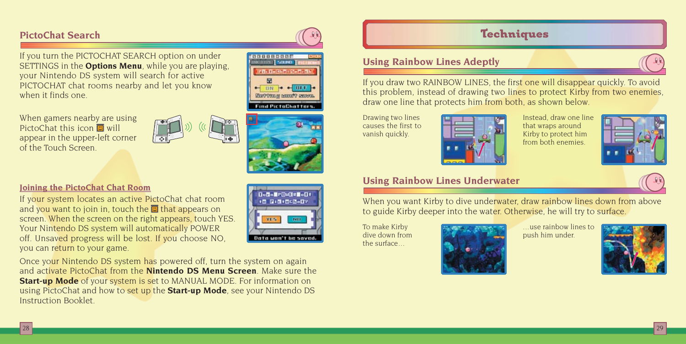## **PictoChat Search**

If you turn the PICTOCHAT SEARCH option on under SETTINGS in the **Options Menu**, while you are playing, your Nintendo DS system will search for active PICTOCHAT chat rooms nearby and let you know when it finds one.

When gamers nearby are using PictoChat this icon  $\Box$  will appear in the upper-left corner of the Touch Screen.





isici di Title je isli **Marian Learner Information Section RF**  $\frac{1}{10}$   $\frac{1}{10}$   $\frac{1}{10}$ **FOR YOU AN ACCOUNT SHOPS Find PictoChatters** 

#### **Joining the PictoChat Chat Room**

If your system locates an active PictoChat chat room and you want to join in, touch the  $\Box$  that appears on screen. When the screen on the right appears, touch YES. Your Nintendo DS system will automatically POWER off. Unsaved progress will be lost. If you choose NO, you can return to your game.



Once your Nintendo DS system has powered off, turn the system on again and activate PictoChat from the **Nintendo DS Menu Screen**. Make sure the **Start-up Mode** of your system is set to MANUAL MODE. For information on using PictoChat and how to set up the **Start-up Mode**, see your Nintendo DS Instruction Booklet.

# **Techniques**

### **Using Rainbow Lines Adeptly**

If you draw two RAINBOW LINES, the first one will disappear quickly. To avoid this problem, instead of drawing two lines to protect Kirby from two enemies, draw one line that protects him from both, as shown below.

Drawing two lines causes the first to vanish quickly.



Instead, draw one line that wraps around Kirby to protect him from both enemies.



### **Using Rainbow Lines Underwater**

When you want Kirby to dive underwater, draw rainbow lines down from above to guide Kirby deeper into the water. Otherwise, he will try to surface.

To make Kirby dive down from the surface...



...use rainbow lines to push him under.